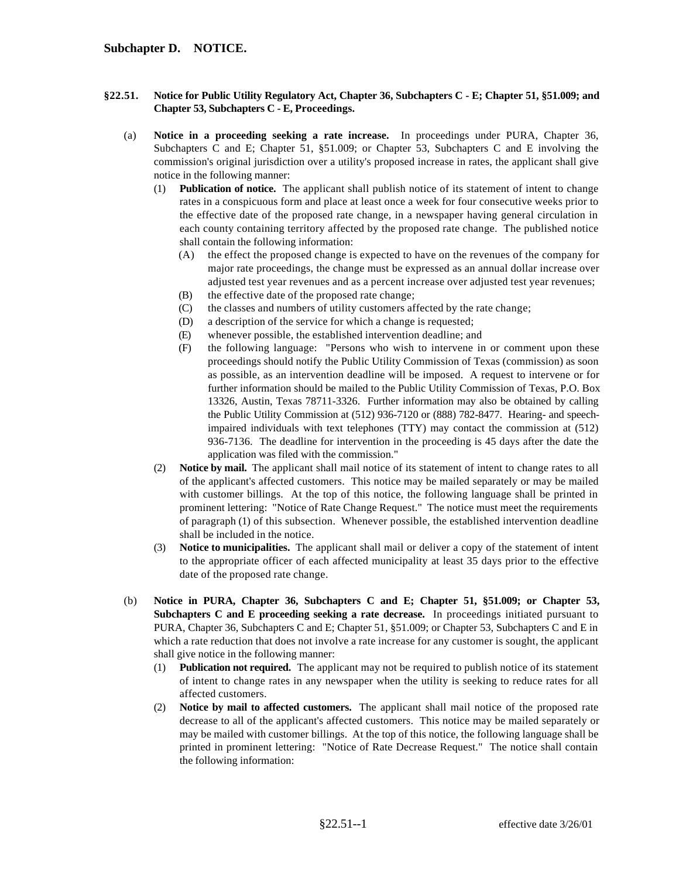- **§22.51. Notice for Public Utility Regulatory Act, Chapter 36, Subchapters C E; Chapter 51, §51.009; and Chapter 53, Subchapters C - E, Proceedings.** 
	- (a) **Notice in a proceeding seeking a rate increase.** In proceedings under PURA, Chapter 36, Subchapters C and E; Chapter 51, §51.009; or Chapter 53, Subchapters C and E involving the commission's original jurisdiction over a utility's proposed increase in rates, the applicant shall give notice in the following manner:
		- (1) **Publication of notice.** The applicant shall publish notice of its statement of intent to change rates in a conspicuous form and place at least once a week for four consecutive weeks prior to the effective date of the proposed rate change, in a newspaper having general circulation in each county containing territory affected by the proposed rate change. The published notice shall contain the following information:
			- (A) the effect the proposed change is expected to have on the revenues of the company for major rate proceedings, the change must be expressed as an annual dollar increase over adjusted test year revenues and as a percent increase over adjusted test year revenues;
			- (B) the effective date of the proposed rate change;
			- (C) the classes and numbers of utility customers affected by the rate change;
			- (D) a description of the service for which a change is requested;
			- (E) whenever possible, the established intervention deadline; and
			- (F) the following language: "Persons who wish to intervene in or comment upon these proceedings should notify the Public Utility Commission of Texas (commission) as soon as possible, as an intervention deadline will be imposed. A request to intervene or for further information should be mailed to the Public Utility Commission of Texas, P.O. Box 13326, Austin, Texas 78711-3326. Further information may also be obtained by calling the Public Utility Commission at (512) 936-7120 or (888) 782-8477. Hearing- and speechimpaired individuals with text telephones (TTY) may contact the commission at (512) 936-7136. The deadline for intervention in the proceeding is 45 days after the date the application was filed with the commission."
		- (2) **Notice by mail.** The applicant shall mail notice of its statement of intent to change rates to all of the applicant's affected customers. This notice may be mailed separately or may be mailed with customer billings. At the top of this notice, the following language shall be printed in prominent lettering: "Notice of Rate Change Request." The notice must meet the requirements of paragraph (1) of this subsection. Whenever possible, the established intervention deadline shall be included in the notice.
		- (3) **Notice to municipalities.** The applicant shall mail or deliver a copy of the statement of intent to the appropriate officer of each affected municipality at least 35 days prior to the effective date of the proposed rate change.
	- (b) **Notice in PURA, Chapter 36, Subchapters C and E; Chapter 51, §51.009; or Chapter 53, Subchapters C and E proceeding seeking a rate decrease.** In proceedings initiated pursuant to PURA, Chapter 36, Subchapters C and E; Chapter 51, §51.009; or Chapter 53, Subchapters C and E in which a rate reduction that does not involve a rate increase for any customer is sought, the applicant shall give notice in the following manner:
		- (1) **Publication not required.** The applicant may not be required to publish notice of its statement of intent to change rates in any newspaper when the utility is seeking to reduce rates for all affected customers.
		- (2) **Notice by mail to affected customers.** The applicant shall mail notice of the proposed rate decrease to all of the applicant's affected customers. This notice may be mailed separately or may be mailed with customer billings. At the top of this notice, the following language shall be printed in prominent lettering: "Notice of Rate Decrease Request." The notice shall contain the following information: